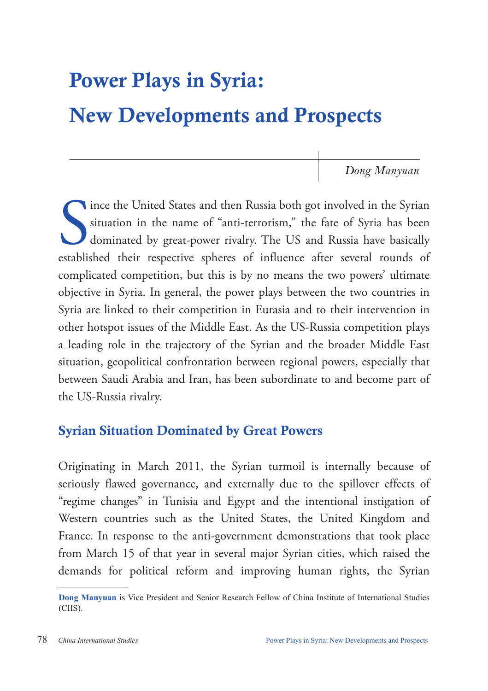# Power Plays in Syria:

## New Developments and Prospects

*Dong Manyuan*

Since the United States and then Russia both got involved in the Syrian situation in the name of "anti-terrorism," the fate of Syria has been dominated by great-power rivalry. The US and Russia have basically established t ince the United States and then Russia both got involved in the Syrian situation in the name of "anti-terrorism," the fate of Syria has been dominated by great-power rivalry. The US and Russia have basically complicated competition, but this is by no means the two powers' ultimate objective in Syria. In general, the power plays between the two countries in Syria are linked to their competition in Eurasia and to their intervention in other hotspot issues of the Middle East. As the US-Russia competition plays a leading role in the trajectory of the Syrian and the broader Middle East situation, geopolitical confrontation between regional powers, especially that between Saudi Arabia and Iran, has been subordinate to and become part of the US-Russia rivalry.

#### Syrian Situation Dominated by Great Powers

Originating in March 2011, the Syrian turmoil is internally because of seriously flawed governance, and externally due to the spillover effects of "regime changes" in Tunisia and Egypt and the intentional instigation of Western countries such as the United States, the United Kingdom and France. In response to the anti-government demonstrations that took place from March 15 of that year in several major Syrian cities, which raised the demands for political reform and improving human rights, the Syrian

**Dong Manyuan** is Vice President and Senior Research Fellow of China Institute of International Studies (CIIS).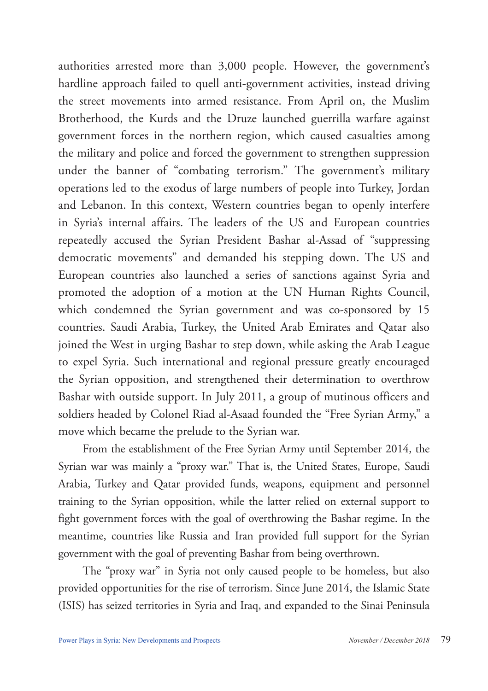authorities arrested more than 3,000 people. However, the government's hardline approach failed to quell anti-government activities, instead driving the street movements into armed resistance. From April on, the Muslim Brotherhood, the Kurds and the Druze launched guerrilla warfare against government forces in the northern region, which caused casualties among the military and police and forced the government to strengthen suppression under the banner of "combating terrorism." The government's military operations led to the exodus of large numbers of people into Turkey, Jordan and Lebanon. In this context, Western countries began to openly interfere in Syria's internal affairs. The leaders of the US and European countries repeatedly accused the Syrian President Bashar al-Assad of "suppressing democratic movements" and demanded his stepping down. The US and European countries also launched a series of sanctions against Syria and promoted the adoption of a motion at the UN Human Rights Council, which condemned the Syrian government and was co-sponsored by 15 countries. Saudi Arabia, Turkey, the United Arab Emirates and Qatar also joined the West in urging Bashar to step down, while asking the Arab League to expel Syria. Such international and regional pressure greatly encouraged the Syrian opposition, and strengthened their determination to overthrow Bashar with outside support. In July 2011, a group of mutinous officers and soldiers headed by Colonel Riad al-Asaad founded the "Free Syrian Army," a move which became the prelude to the Syrian war.

From the establishment of the Free Syrian Army until September 2014, the Syrian war was mainly a "proxy war." That is, the United States, Europe, Saudi Arabia, Turkey and Qatar provided funds, weapons, equipment and personnel training to the Syrian opposition, while the latter relied on external support to fight government forces with the goal of overthrowing the Bashar regime. In the meantime, countries like Russia and Iran provided full support for the Syrian government with the goal of preventing Bashar from being overthrown.

The "proxy war" in Syria not only caused people to be homeless, but also provided opportunities for the rise of terrorism. Since June 2014, the Islamic State (ISIS) has seized territories in Syria and Iraq, and expanded to the Sinai Peninsula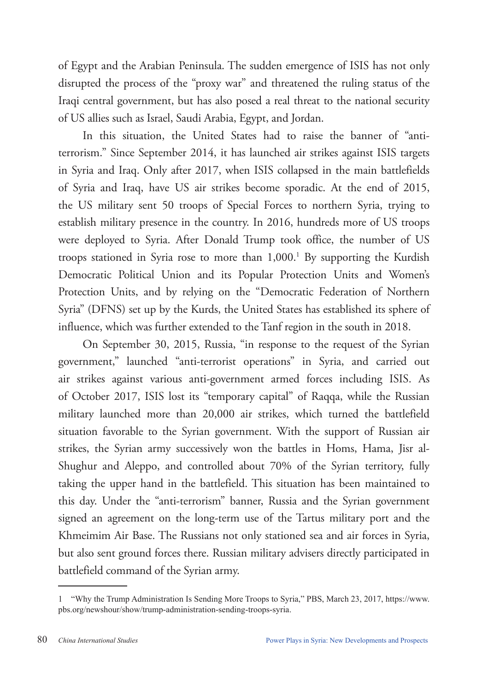of Egypt and the Arabian Peninsula. The sudden emergence of ISIS has not only disrupted the process of the "proxy war" and threatened the ruling status of the Iraqi central government, but has also posed a real threat to the national security of US allies such as Israel, Saudi Arabia, Egypt, and Jordan.

In this situation, the United States had to raise the banner of "antiterrorism." Since September 2014, it has launched air strikes against ISIS targets in Syria and Iraq. Only after 2017, when ISIS collapsed in the main battlefields of Syria and Iraq, have US air strikes become sporadic. At the end of 2015, the US military sent 50 troops of Special Forces to northern Syria, trying to establish military presence in the country. In 2016, hundreds more of US troops were deployed to Syria. After Donald Trump took office, the number of US troops stationed in Syria rose to more than 1,000.<sup>1</sup> By supporting the Kurdish Democratic Political Union and its Popular Protection Units and Women's Protection Units, and by relying on the "Democratic Federation of Northern Syria" (DFNS) set up by the Kurds, the United States has established its sphere of influence, which was further extended to the Tanf region in the south in 2018.

On September 30, 2015, Russia, "in response to the request of the Syrian government," launched "anti-terrorist operations" in Syria, and carried out air strikes against various anti-government armed forces including ISIS. As of October 2017, ISIS lost its "temporary capital" of Raqqa, while the Russian military launched more than 20,000 air strikes, which turned the battlefield situation favorable to the Syrian government. With the support of Russian air strikes, the Syrian army successively won the battles in Homs, Hama, Jisr al-Shughur and Aleppo, and controlled about 70% of the Syrian territory, fully taking the upper hand in the battlefield. This situation has been maintained to this day. Under the "anti-terrorism" banner, Russia and the Syrian government signed an agreement on the long-term use of the Tartus military port and the Khmeimim Air Base. The Russians not only stationed sea and air forces in Syria, but also sent ground forces there. Russian military advisers directly participated in battlefield command of the Syrian army.

<sup>1</sup> "Why the Trump Administration Is Sending More Troops to Syria," PBS, March 23, 2017, https://www. pbs.org/newshour/show/trump-administration-sending-troops-syria.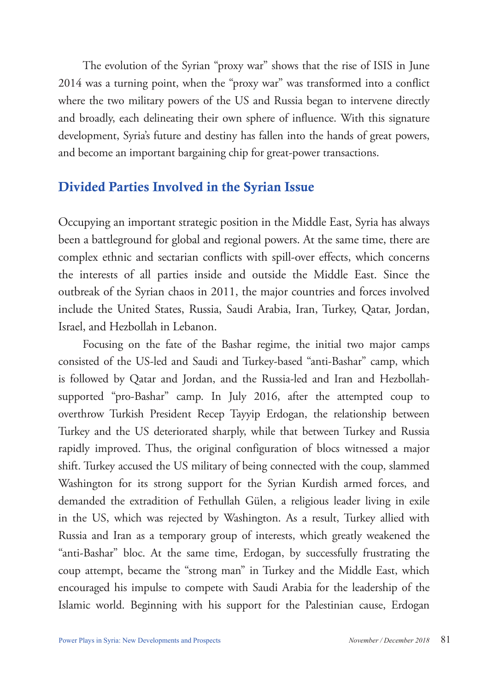The evolution of the Syrian "proxy war" shows that the rise of ISIS in June 2014 was a turning point, when the "proxy war" was transformed into a conflict where the two military powers of the US and Russia began to intervene directly and broadly, each delineating their own sphere of influence. With this signature development, Syria's future and destiny has fallen into the hands of great powers, and become an important bargaining chip for great-power transactions.

#### Divided Parties Involved in the Syrian Issue

Occupying an important strategic position in the Middle East, Syria has always been a battleground for global and regional powers. At the same time, there are complex ethnic and sectarian conflicts with spill-over effects, which concerns the interests of all parties inside and outside the Middle East. Since the outbreak of the Syrian chaos in 2011, the major countries and forces involved include the United States, Russia, Saudi Arabia, Iran, Turkey, Qatar, Jordan, Israel, and Hezbollah in Lebanon.

Focusing on the fate of the Bashar regime, the initial two major camps consisted of the US-led and Saudi and Turkey-based "anti-Bashar" camp, which is followed by Qatar and Jordan, and the Russia-led and Iran and Hezbollahsupported "pro-Bashar" camp. In July 2016, after the attempted coup to overthrow Turkish President Recep Tayyip Erdogan, the relationship between Turkey and the US deteriorated sharply, while that between Turkey and Russia rapidly improved. Thus, the original configuration of blocs witnessed a major shift. Turkey accused the US military of being connected with the coup, slammed Washington for its strong support for the Syrian Kurdish armed forces, and demanded the extradition of Fethullah Gülen, a religious leader living in exile in the US, which was rejected by Washington. As a result, Turkey allied with Russia and Iran as a temporary group of interests, which greatly weakened the "anti-Bashar" bloc. At the same time, Erdogan, by successfully frustrating the coup attempt, became the "strong man" in Turkey and the Middle East, which encouraged his impulse to compete with Saudi Arabia for the leadership of the Islamic world. Beginning with his support for the Palestinian cause, Erdogan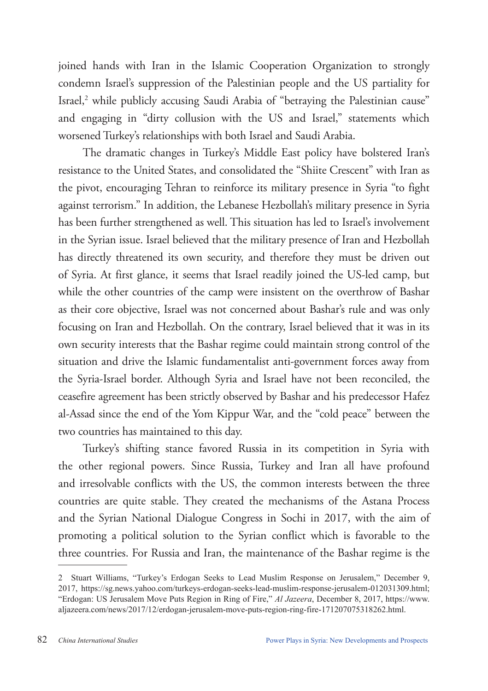joined hands with Iran in the Islamic Cooperation Organization to strongly condemn Israel's suppression of the Palestinian people and the US partiality for Israel,<sup>2</sup> while publicly accusing Saudi Arabia of "betraying the Palestinian cause" and engaging in "dirty collusion with the US and Israel," statements which worsened Turkey's relationships with both Israel and Saudi Arabia.

The dramatic changes in Turkey's Middle East policy have bolstered Iran's resistance to the United States, and consolidated the "Shiite Crescent" with Iran as the pivot, encouraging Tehran to reinforce its military presence in Syria "to fight against terrorism." In addition, the Lebanese Hezbollah's military presence in Syria has been further strengthened as well. This situation has led to Israel's involvement in the Syrian issue. Israel believed that the military presence of Iran and Hezbollah has directly threatened its own security, and therefore they must be driven out of Syria. At first glance, it seems that Israel readily joined the US-led camp, but while the other countries of the camp were insistent on the overthrow of Bashar as their core objective, Israel was not concerned about Bashar's rule and was only focusing on Iran and Hezbollah. On the contrary, Israel believed that it was in its own security interests that the Bashar regime could maintain strong control of the situation and drive the Islamic fundamentalist anti-government forces away from the Syria-Israel border. Although Syria and Israel have not been reconciled, the ceasefire agreement has been strictly observed by Bashar and his predecessor Hafez al-Assad since the end of the Yom Kippur War, and the "cold peace" between the two countries has maintained to this day.

Turkey's shifting stance favored Russia in its competition in Syria with the other regional powers. Since Russia, Turkey and Iran all have profound and irresolvable conflicts with the US, the common interests between the three countries are quite stable. They created the mechanisms of the Astana Process and the Syrian National Dialogue Congress in Sochi in 2017, with the aim of promoting a political solution to the Syrian conflict which is favorable to the three countries. For Russia and Iran, the maintenance of the Bashar regime is the

<sup>2</sup> Stuart Williams, "Turkey's Erdogan Seeks to Lead Muslim Response on Jerusalem," December 9, 2017, https://sg.news.yahoo.com/turkeys-erdogan-seeks-lead-muslim-response-jerusalem-012031309.html; "Erdogan: US Jerusalem Move Puts Region in Ring of Fire," *Al Jazeera*, December 8, 2017, https://www. aljazeera.com/news/2017/12/erdogan-jerusalem-move-puts-region-ring-fire-171207075318262.html.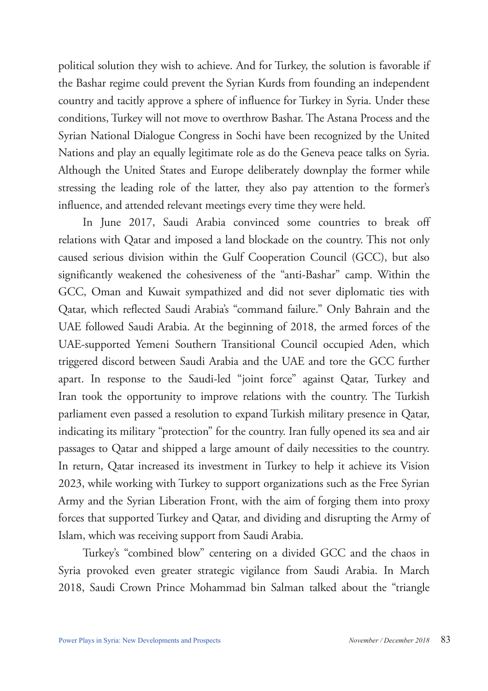political solution they wish to achieve. And for Turkey, the solution is favorable if the Bashar regime could prevent the Syrian Kurds from founding an independent country and tacitly approve a sphere of influence for Turkey in Syria. Under these conditions, Turkey will not move to overthrow Bashar. The Astana Process and the Syrian National Dialogue Congress in Sochi have been recognized by the United Nations and play an equally legitimate role as do the Geneva peace talks on Syria. Although the United States and Europe deliberately downplay the former while stressing the leading role of the latter, they also pay attention to the former's influence, and attended relevant meetings every time they were held.

In June 2017, Saudi Arabia convinced some countries to break off relations with Qatar and imposed a land blockade on the country. This not only caused serious division within the Gulf Cooperation Council (GCC), but also significantly weakened the cohesiveness of the "anti-Bashar" camp. Within the GCC, Oman and Kuwait sympathized and did not sever diplomatic ties with Qatar, which reflected Saudi Arabia's "command failure." Only Bahrain and the UAE followed Saudi Arabia. At the beginning of 2018, the armed forces of the UAE-supported Yemeni Southern Transitional Council occupied Aden, which triggered discord between Saudi Arabia and the UAE and tore the GCC further apart. In response to the Saudi-led "joint force" against Qatar, Turkey and Iran took the opportunity to improve relations with the country. The Turkish parliament even passed a resolution to expand Turkish military presence in Qatar, indicating its military "protection" for the country. Iran fully opened its sea and air passages to Qatar and shipped a large amount of daily necessities to the country. In return, Qatar increased its investment in Turkey to help it achieve its Vision 2023, while working with Turkey to support organizations such as the Free Syrian Army and the Syrian Liberation Front, with the aim of forging them into proxy forces that supported Turkey and Qatar, and dividing and disrupting the Army of Islam, which was receiving support from Saudi Arabia.

Turkey's "combined blow" centering on a divided GCC and the chaos in Syria provoked even greater strategic vigilance from Saudi Arabia. In March 2018, Saudi Crown Prince Mohammad bin Salman talked about the "triangle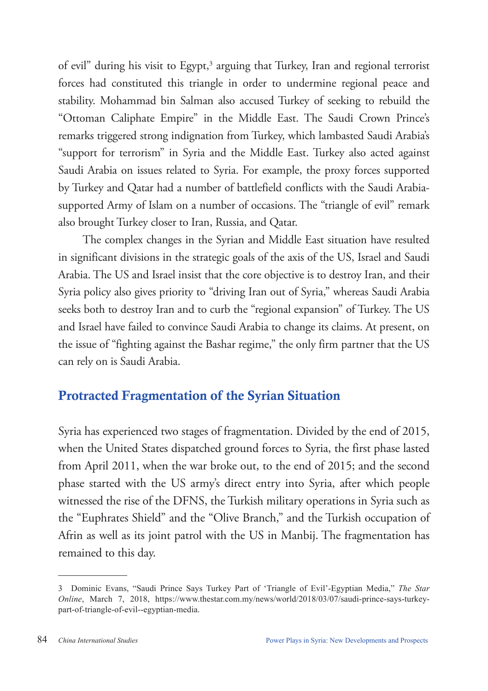of evil" during his visit to Egypt,<sup>3</sup> arguing that Turkey, Iran and regional terrorist forces had constituted this triangle in order to undermine regional peace and stability. Mohammad bin Salman also accused Turkey of seeking to rebuild the "Ottoman Caliphate Empire" in the Middle East. The Saudi Crown Prince's remarks triggered strong indignation from Turkey, which lambasted Saudi Arabia's "support for terrorism" in Syria and the Middle East. Turkey also acted against Saudi Arabia on issues related to Syria. For example, the proxy forces supported by Turkey and Qatar had a number of battlefield conflicts with the Saudi Arabiasupported Army of Islam on a number of occasions. The "triangle of evil" remark also brought Turkey closer to Iran, Russia, and Qatar.

The complex changes in the Syrian and Middle East situation have resulted in significant divisions in the strategic goals of the axis of the US, Israel and Saudi Arabia. The US and Israel insist that the core objective is to destroy Iran, and their Syria policy also gives priority to "driving Iran out of Syria," whereas Saudi Arabia seeks both to destroy Iran and to curb the "regional expansion" of Turkey. The US and Israel have failed to convince Saudi Arabia to change its claims. At present, on the issue of "fighting against the Bashar regime," the only firm partner that the US can rely on is Saudi Arabia.

### Protracted Fragmentation of the Syrian Situation

Syria has experienced two stages of fragmentation. Divided by the end of 2015, when the United States dispatched ground forces to Syria, the first phase lasted from April 2011, when the war broke out, to the end of 2015; and the second phase started with the US army's direct entry into Syria, after which people witnessed the rise of the DFNS, the Turkish military operations in Syria such as the "Euphrates Shield" and the "Olive Branch," and the Turkish occupation of Afrin as well as its joint patrol with the US in Manbij. The fragmentation has remained to this day.

<sup>3</sup> Dominic Evans, "Saudi Prince Says Turkey Part of 'Triangle of Evil'-Egyptian Media," *The Star Online*, March 7, 2018, https://www.thestar.com.my/news/world/2018/03/07/saudi-prince-says-turkeypart-of-triangle-of-evil--egyptian-media.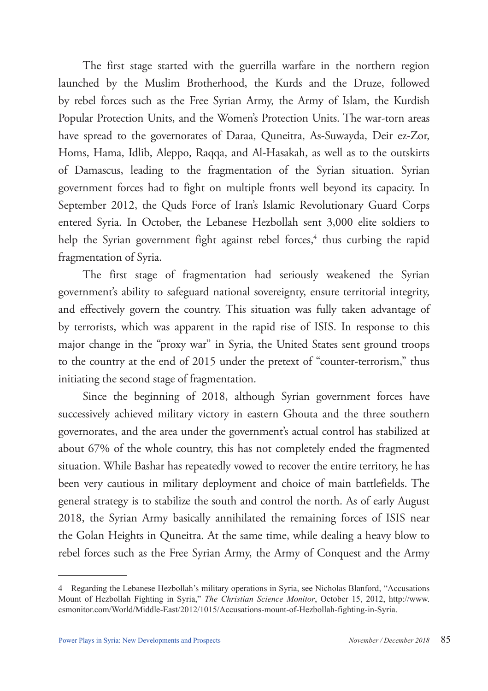The first stage started with the guerrilla warfare in the northern region launched by the Muslim Brotherhood, the Kurds and the Druze, followed by rebel forces such as the Free Syrian Army, the Army of Islam, the Kurdish Popular Protection Units, and the Women's Protection Units. The war-torn areas have spread to the governorates of Daraa, Quneitra, As-Suwayda, Deir ez-Zor, Homs, Hama, Idlib, Aleppo, Raqqa, and Al-Hasakah, as well as to the outskirts of Damascus, leading to the fragmentation of the Syrian situation. Syrian government forces had to fight on multiple fronts well beyond its capacity. In September 2012, the Quds Force of Iran's Islamic Revolutionary Guard Corps entered Syria. In October, the Lebanese Hezbollah sent 3,000 elite soldiers to help the Syrian government fight against rebel forces,<sup>4</sup> thus curbing the rapid fragmentation of Syria.

The first stage of fragmentation had seriously weakened the Syrian government's ability to safeguard national sovereignty, ensure territorial integrity, and effectively govern the country. This situation was fully taken advantage of by terrorists, which was apparent in the rapid rise of ISIS. In response to this major change in the "proxy war" in Syria, the United States sent ground troops to the country at the end of 2015 under the pretext of "counter-terrorism," thus initiating the second stage of fragmentation.

Since the beginning of 2018, although Syrian government forces have successively achieved military victory in eastern Ghouta and the three southern governorates, and the area under the government's actual control has stabilized at about 67% of the whole country, this has not completely ended the fragmented situation. While Bashar has repeatedly vowed to recover the entire territory, he has been very cautious in military deployment and choice of main battlefields. The general strategy is to stabilize the south and control the north. As of early August 2018, the Syrian Army basically annihilated the remaining forces of ISIS near the Golan Heights in Quneitra. At the same time, while dealing a heavy blow to rebel forces such as the Free Syrian Army, the Army of Conquest and the Army

<sup>4</sup> Regarding the Lebanese Hezbollah's military operations in Syria, see Nicholas Blanford, "Accusations Mount of Hezbollah Fighting in Syria," *The Christian Science Monitor*, October 15, 2012, http://www. csmonitor.com/World/Middle-East/2012/1015/Accusations-mount-of-Hezbollah-fighting-in-Syria.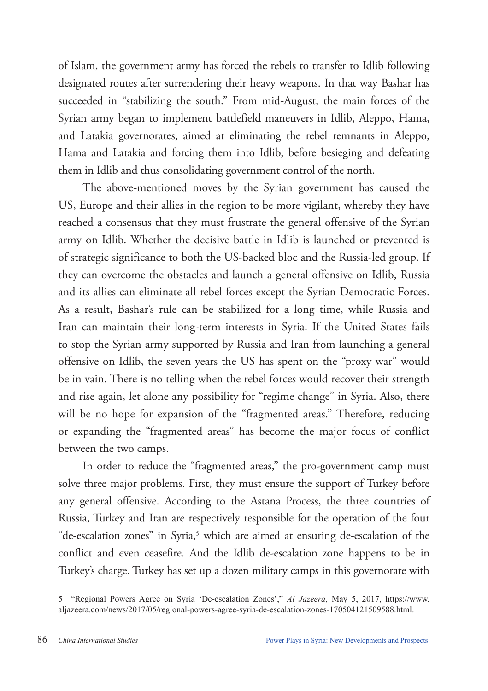of Islam, the government army has forced the rebels to transfer to Idlib following designated routes after surrendering their heavy weapons. In that way Bashar has succeeded in "stabilizing the south." From mid-August, the main forces of the Syrian army began to implement battlefield maneuvers in Idlib, Aleppo, Hama, and Latakia governorates, aimed at eliminating the rebel remnants in Aleppo, Hama and Latakia and forcing them into Idlib, before besieging and defeating them in Idlib and thus consolidating government control of the north.

The above-mentioned moves by the Syrian government has caused the US, Europe and their allies in the region to be more vigilant, whereby they have reached a consensus that they must frustrate the general offensive of the Syrian army on Idlib. Whether the decisive battle in Idlib is launched or prevented is of strategic significance to both the US-backed bloc and the Russia-led group. If they can overcome the obstacles and launch a general offensive on Idlib, Russia and its allies can eliminate all rebel forces except the Syrian Democratic Forces. As a result, Bashar's rule can be stabilized for a long time, while Russia and Iran can maintain their long-term interests in Syria. If the United States fails to stop the Syrian army supported by Russia and Iran from launching a general offensive on Idlib, the seven years the US has spent on the "proxy war" would be in vain. There is no telling when the rebel forces would recover their strength and rise again, let alone any possibility for "regime change" in Syria. Also, there will be no hope for expansion of the "fragmented areas." Therefore, reducing or expanding the "fragmented areas" has become the major focus of conflict between the two camps.

In order to reduce the "fragmented areas," the pro-government camp must solve three major problems. First, they must ensure the support of Turkey before any general offensive. According to the Astana Process, the three countries of Russia, Turkey and Iran are respectively responsible for the operation of the four "de-escalation zones" in Syria,<sup>5</sup> which are aimed at ensuring de-escalation of the conflict and even ceasefire. And the Idlib de-escalation zone happens to be in Turkey's charge. Turkey has set up a dozen military camps in this governorate with

<sup>5</sup> "Regional Powers Agree on Syria 'De-escalation Zones'," *Al Jazeera*, May 5, 2017, https://www. aljazeera.com/news/2017/05/regional-powers-agree-syria-de-escalation-zones-170504121509588.html.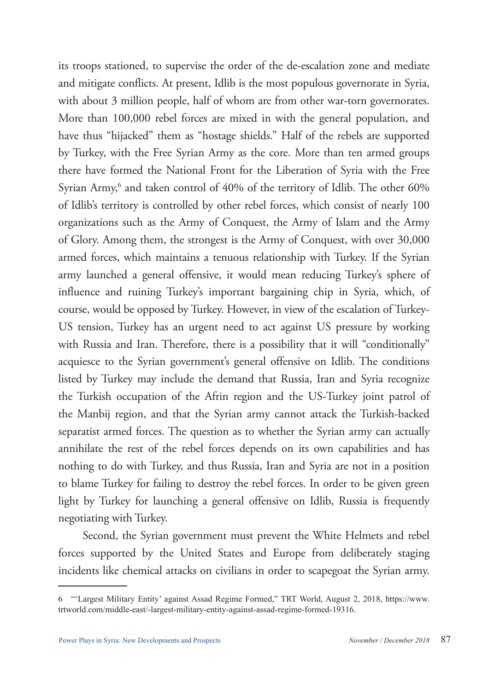its troops stationed, to supervise the order of the de-escalation zone and mediate and mitigate conflicts. At present, Idlib is the most populous governorate in Syria, with about 3 million people, half of whom are from other war-torn governorates. More than 100,000 rebel forces are mixed in with the general population, and have thus "hijacked" them as "hostage shields." Half of the rebels are supported by Turkey, with the Free Syrian Army as the core. More than ten armed groups there have formed the National Front for the Liberation of Syria with the Free Syrian Army,<sup>6</sup> and taken control of 40% of the territory of Idlib. The other 60% of Idlib's territory is controlled by other rebel forces, which consist of nearly 100 organizations such as the Army of Conquest, the Army of Islam and the Army of Glory. Among them, the strongest is the Army of Conquest, with over 30,000 armed forces, which maintains a tenuous relationship with Turkey. If the Syrian army launched a general offensive, it would mean reducing Turkey's sphere of influence and ruining Turkey's important bargaining chip in Syria, which, of course, would be opposed by Turkey. However, in view of the escalation of Turkey-US tension, Turkey has an urgent need to act against US pressure by working with Russia and Iran. Therefore, there is a possibility that it will "conditionally" acquiesce to the Syrian government's general offensive on Idlib. The conditions listed by Turkey may include the demand that Russia, Iran and Syria recognize the Turkish occupation of the Afrin region and the US-Turkey joint patrol of the Manbij region, and that the Syrian army cannot attack the Turkish-backed separatist armed forces. The question as to whether the Syrian army can actually annihilate the rest of the rebel forces depends on its own capabilities and has nothing to do with Turkey, and thus Russia, Iran and Syria are not in a position to blame Turkey for failing to destroy the rebel forces. In order to be given green light by Turkey for launching a general offensive on Idlib, Russia is frequently negotiating with Turkey.

Second, the Syrian government must prevent the White Helmets and rebel forces supported by the United States and Europe from deliberately staging incidents like chemical attacks on civilians in order to scapegoat the Syrian army.

<sup>6</sup> "'Largest Military Entity' against Assad Regime Formed," TRT World, August 2, 2018, https://www. trtworld.com/middle-east/-largest-military-entity-against-assad-regime-formed-19316.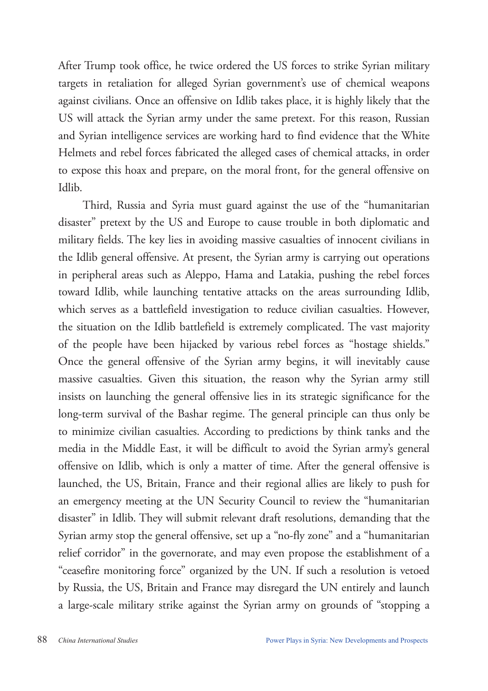After Trump took office, he twice ordered the US forces to strike Syrian military targets in retaliation for alleged Syrian government's use of chemical weapons against civilians. Once an offensive on Idlib takes place, it is highly likely that the US will attack the Syrian army under the same pretext. For this reason, Russian and Syrian intelligence services are working hard to find evidence that the White Helmets and rebel forces fabricated the alleged cases of chemical attacks, in order to expose this hoax and prepare, on the moral front, for the general offensive on Idlib.

Third, Russia and Syria must guard against the use of the "humanitarian disaster" pretext by the US and Europe to cause trouble in both diplomatic and military fields. The key lies in avoiding massive casualties of innocent civilians in the Idlib general offensive. At present, the Syrian army is carrying out operations in peripheral areas such as Aleppo, Hama and Latakia, pushing the rebel forces toward Idlib, while launching tentative attacks on the areas surrounding Idlib, which serves as a battlefield investigation to reduce civilian casualties. However, the situation on the Idlib battlefield is extremely complicated. The vast majority of the people have been hijacked by various rebel forces as "hostage shields." Once the general offensive of the Syrian army begins, it will inevitably cause massive casualties. Given this situation, the reason why the Syrian army still insists on launching the general offensive lies in its strategic significance for the long-term survival of the Bashar regime. The general principle can thus only be to minimize civilian casualties. According to predictions by think tanks and the media in the Middle East, it will be difficult to avoid the Syrian army's general offensive on Idlib, which is only a matter of time. After the general offensive is launched, the US, Britain, France and their regional allies are likely to push for an emergency meeting at the UN Security Council to review the "humanitarian disaster" in Idlib. They will submit relevant draft resolutions, demanding that the Syrian army stop the general offensive, set up a "no-fly zone" and a "humanitarian relief corridor" in the governorate, and may even propose the establishment of a "ceasefire monitoring force" organized by the UN. If such a resolution is vetoed by Russia, the US, Britain and France may disregard the UN entirely and launch a large-scale military strike against the Syrian army on grounds of "stopping a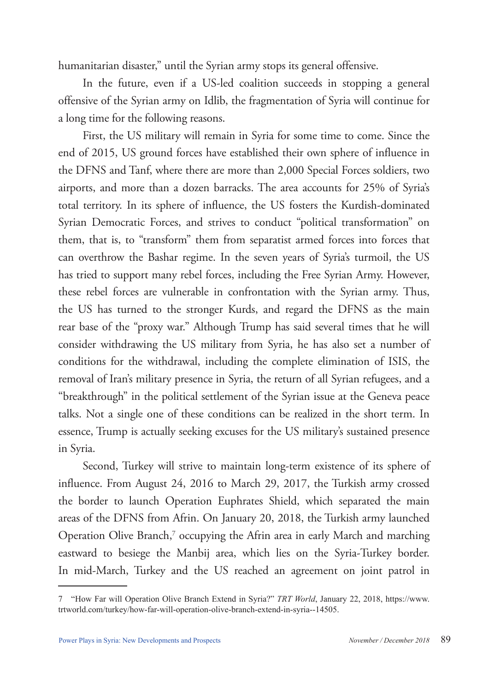humanitarian disaster," until the Syrian army stops its general offensive.

In the future, even if a US-led coalition succeeds in stopping a general offensive of the Syrian army on Idlib, the fragmentation of Syria will continue for a long time for the following reasons.

First, the US military will remain in Syria for some time to come. Since the end of 2015, US ground forces have established their own sphere of influence in the DFNS and Tanf, where there are more than 2,000 Special Forces soldiers, two airports, and more than a dozen barracks. The area accounts for 25% of Syria's total territory. In its sphere of influence, the US fosters the Kurdish-dominated Syrian Democratic Forces, and strives to conduct "political transformation" on them, that is, to "transform" them from separatist armed forces into forces that can overthrow the Bashar regime. In the seven years of Syria's turmoil, the US has tried to support many rebel forces, including the Free Syrian Army. However, these rebel forces are vulnerable in confrontation with the Syrian army. Thus, the US has turned to the stronger Kurds, and regard the DFNS as the main rear base of the "proxy war." Although Trump has said several times that he will consider withdrawing the US military from Syria, he has also set a number of conditions for the withdrawal, including the complete elimination of ISIS, the removal of Iran's military presence in Syria, the return of all Syrian refugees, and a "breakthrough" in the political settlement of the Syrian issue at the Geneva peace talks. Not a single one of these conditions can be realized in the short term. In essence, Trump is actually seeking excuses for the US military's sustained presence in Syria.

Second, Turkey will strive to maintain long-term existence of its sphere of influence. From August 24, 2016 to March 29, 2017, the Turkish army crossed the border to launch Operation Euphrates Shield, which separated the main areas of the DFNS from Afrin. On January 20, 2018, the Turkish army launched Operation Olive Branch,<sup>7</sup> occupying the Afrin area in early March and marching eastward to besiege the Manbij area, which lies on the Syria-Turkey border. In mid-March, Turkey and the US reached an agreement on joint patrol in

<sup>7</sup> "How Far will Operation Olive Branch Extend in Syria?" *TRT World*, January 22, 2018, https://www. trtworld.com/turkey/how-far-will-operation-olive-branch-extend-in-syria--14505.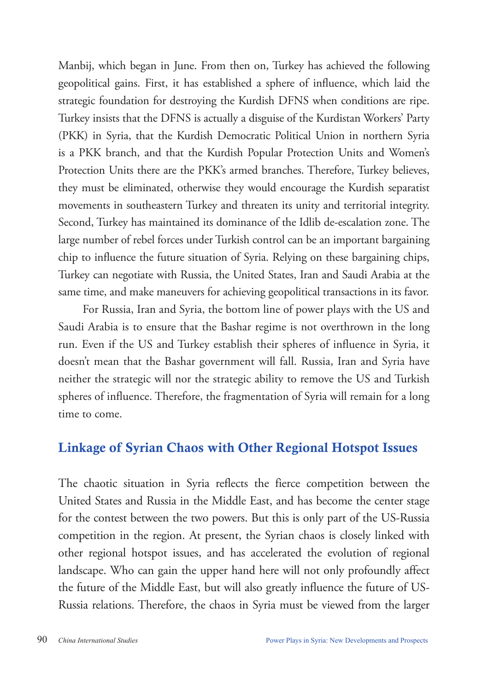Manbij, which began in June. From then on, Turkey has achieved the following geopolitical gains. First, it has established a sphere of influence, which laid the strategic foundation for destroying the Kurdish DFNS when conditions are ripe. Turkey insists that the DFNS is actually a disguise of the Kurdistan Workers' Party (PKK) in Syria, that the Kurdish Democratic Political Union in northern Syria is a PKK branch, and that the Kurdish Popular Protection Units and Women's Protection Units there are the PKK's armed branches. Therefore, Turkey believes, they must be eliminated, otherwise they would encourage the Kurdish separatist movements in southeastern Turkey and threaten its unity and territorial integrity. Second, Turkey has maintained its dominance of the Idlib de-escalation zone. The large number of rebel forces under Turkish control can be an important bargaining chip to influence the future situation of Syria. Relying on these bargaining chips, Turkey can negotiate with Russia, the United States, Iran and Saudi Arabia at the same time, and make maneuvers for achieving geopolitical transactions in its favor.

For Russia, Iran and Syria, the bottom line of power plays with the US and Saudi Arabia is to ensure that the Bashar regime is not overthrown in the long run. Even if the US and Turkey establish their spheres of influence in Syria, it doesn't mean that the Bashar government will fall. Russia, Iran and Syria have neither the strategic will nor the strategic ability to remove the US and Turkish spheres of influence. Therefore, the fragmentation of Syria will remain for a long time to come.

#### Linkage of Syrian Chaos with Other Regional Hotspot Issues

The chaotic situation in Syria reflects the fierce competition between the United States and Russia in the Middle East, and has become the center stage for the contest between the two powers. But this is only part of the US-Russia competition in the region. At present, the Syrian chaos is closely linked with other regional hotspot issues, and has accelerated the evolution of regional landscape. Who can gain the upper hand here will not only profoundly affect the future of the Middle East, but will also greatly influence the future of US-Russia relations. Therefore, the chaos in Syria must be viewed from the larger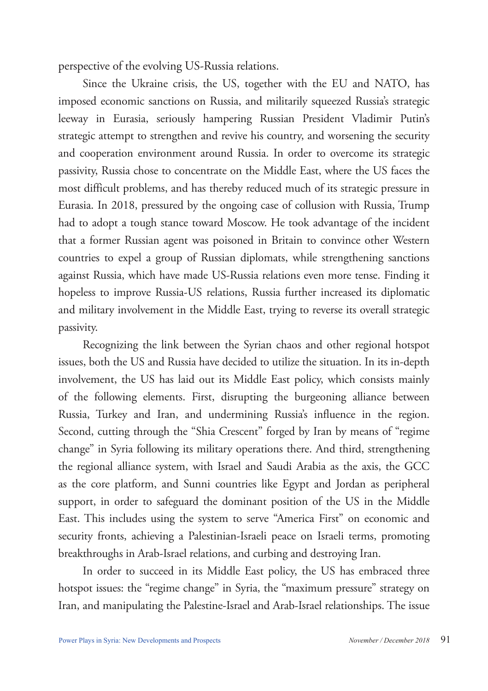perspective of the evolving US-Russia relations.

Since the Ukraine crisis, the US, together with the EU and NATO, has imposed economic sanctions on Russia, and militarily squeezed Russia's strategic leeway in Eurasia, seriously hampering Russian President Vladimir Putin's strategic attempt to strengthen and revive his country, and worsening the security and cooperation environment around Russia. In order to overcome its strategic passivity, Russia chose to concentrate on the Middle East, where the US faces the most difficult problems, and has thereby reduced much of its strategic pressure in Eurasia. In 2018, pressured by the ongoing case of collusion with Russia, Trump had to adopt a tough stance toward Moscow. He took advantage of the incident that a former Russian agent was poisoned in Britain to convince other Western countries to expel a group of Russian diplomats, while strengthening sanctions against Russia, which have made US-Russia relations even more tense. Finding it hopeless to improve Russia-US relations, Russia further increased its diplomatic and military involvement in the Middle East, trying to reverse its overall strategic passivity.

Recognizing the link between the Syrian chaos and other regional hotspot issues, both the US and Russia have decided to utilize the situation. In its in-depth involvement, the US has laid out its Middle East policy, which consists mainly of the following elements. First, disrupting the burgeoning alliance between Russia, Turkey and Iran, and undermining Russia's influence in the region. Second, cutting through the "Shia Crescent" forged by Iran by means of "regime change" in Syria following its military operations there. And third, strengthening the regional alliance system, with Israel and Saudi Arabia as the axis, the GCC as the core platform, and Sunni countries like Egypt and Jordan as peripheral support, in order to safeguard the dominant position of the US in the Middle East. This includes using the system to serve "America First" on economic and security fronts, achieving a Palestinian-Israeli peace on Israeli terms, promoting breakthroughs in Arab-Israel relations, and curbing and destroying Iran.

In order to succeed in its Middle East policy, the US has embraced three hotspot issues: the "regime change" in Syria, the "maximum pressure" strategy on Iran, and manipulating the Palestine-Israel and Arab-Israel relationships. The issue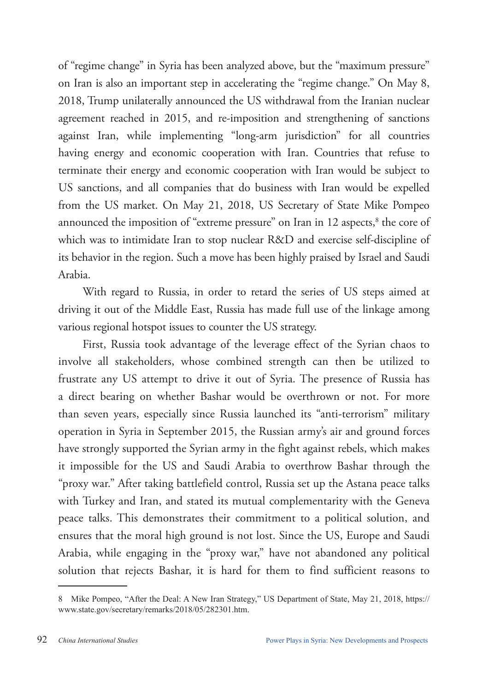of "regime change" in Syria has been analyzed above, but the "maximum pressure" on Iran is also an important step in accelerating the "regime change." On May 8, 2018, Trump unilaterally announced the US withdrawal from the Iranian nuclear agreement reached in 2015, and re-imposition and strengthening of sanctions against Iran, while implementing "long-arm jurisdiction" for all countries having energy and economic cooperation with Iran. Countries that refuse to terminate their energy and economic cooperation with Iran would be subject to US sanctions, and all companies that do business with Iran would be expelled from the US market. On May 21, 2018, US Secretary of State Mike Pompeo announced the imposition of "extreme pressure" on Iran in 12 aspects,<sup>8</sup> the core of which was to intimidate Iran to stop nuclear R&D and exercise self-discipline of its behavior in the region. Such a move has been highly praised by Israel and Saudi Arabia.

With regard to Russia, in order to retard the series of US steps aimed at driving it out of the Middle East, Russia has made full use of the linkage among various regional hotspot issues to counter the US strategy.

First, Russia took advantage of the leverage effect of the Syrian chaos to involve all stakeholders, whose combined strength can then be utilized to frustrate any US attempt to drive it out of Syria. The presence of Russia has a direct bearing on whether Bashar would be overthrown or not. For more than seven years, especially since Russia launched its "anti-terrorism" military operation in Syria in September 2015, the Russian army's air and ground forces have strongly supported the Syrian army in the fight against rebels, which makes it impossible for the US and Saudi Arabia to overthrow Bashar through the "proxy war." After taking battlefield control, Russia set up the Astana peace talks with Turkey and Iran, and stated its mutual complementarity with the Geneva peace talks. This demonstrates their commitment to a political solution, and ensures that the moral high ground is not lost. Since the US, Europe and Saudi Arabia, while engaging in the "proxy war," have not abandoned any political solution that rejects Bashar, it is hard for them to find sufficient reasons to

<sup>8</sup> Mike Pompeo, "After the Deal: A New Iran Strategy," US Department of State, May 21, 2018, https:// www.state.gov/secretary/remarks/2018/05/282301.htm.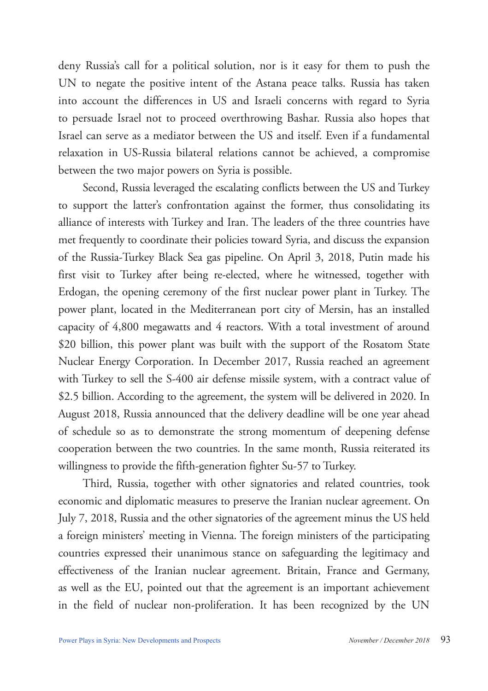deny Russia's call for a political solution, nor is it easy for them to push the UN to negate the positive intent of the Astana peace talks. Russia has taken into account the differences in US and Israeli concerns with regard to Syria to persuade Israel not to proceed overthrowing Bashar. Russia also hopes that Israel can serve as a mediator between the US and itself. Even if a fundamental relaxation in US-Russia bilateral relations cannot be achieved, a compromise between the two major powers on Syria is possible.

Second, Russia leveraged the escalating conflicts between the US and Turkey to support the latter's confrontation against the former, thus consolidating its alliance of interests with Turkey and Iran. The leaders of the three countries have met frequently to coordinate their policies toward Syria, and discuss the expansion of the Russia-Turkey Black Sea gas pipeline. On April 3, 2018, Putin made his first visit to Turkey after being re-elected, where he witnessed, together with Erdogan, the opening ceremony of the first nuclear power plant in Turkey. The power plant, located in the Mediterranean port city of Mersin, has an installed capacity of 4,800 megawatts and 4 reactors. With a total investment of around \$20 billion, this power plant was built with the support of the Rosatom State Nuclear Energy Corporation. In December 2017, Russia reached an agreement with Turkey to sell the S-400 air defense missile system, with a contract value of \$2.5 billion. According to the agreement, the system will be delivered in 2020. In August 2018, Russia announced that the delivery deadline will be one year ahead of schedule so as to demonstrate the strong momentum of deepening defense cooperation between the two countries. In the same month, Russia reiterated its willingness to provide the fifth-generation fighter Su-57 to Turkey.

Third, Russia, together with other signatories and related countries, took economic and diplomatic measures to preserve the Iranian nuclear agreement. On July 7, 2018, Russia and the other signatories of the agreement minus the US held a foreign ministers' meeting in Vienna. The foreign ministers of the participating countries expressed their unanimous stance on safeguarding the legitimacy and effectiveness of the Iranian nuclear agreement. Britain, France and Germany, as well as the EU, pointed out that the agreement is an important achievement in the field of nuclear non-proliferation. It has been recognized by the UN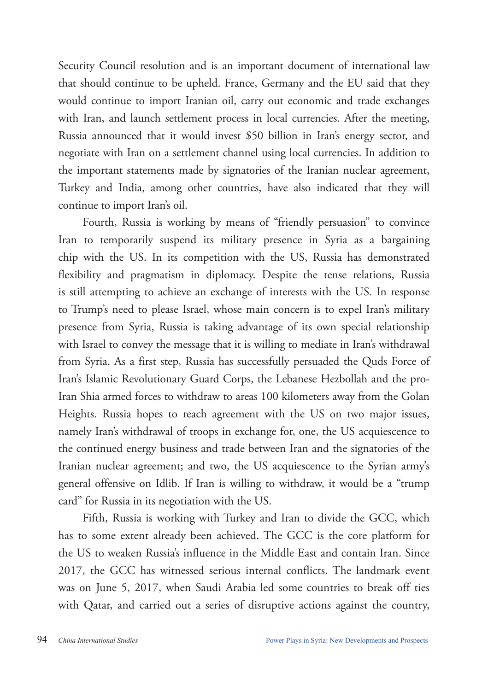Security Council resolution and is an important document of international law that should continue to be upheld. France, Germany and the EU said that they would continue to import Iranian oil, carry out economic and trade exchanges with Iran, and launch settlement process in local currencies. After the meeting, Russia announced that it would invest \$50 billion in Iran's energy sector, and negotiate with Iran on a settlement channel using local currencies. In addition to the important statements made by signatories of the Iranian nuclear agreement, Turkey and India, among other countries, have also indicated that they will continue to import Iran's oil.

Fourth, Russia is working by means of "friendly persuasion" to convince Iran to temporarily suspend its military presence in Syria as a bargaining chip with the US. In its competition with the US, Russia has demonstrated flexibility and pragmatism in diplomacy. Despite the tense relations, Russia is still attempting to achieve an exchange of interests with the US. In response to Trump's need to please Israel, whose main concern is to expel Iran's military presence from Syria, Russia is taking advantage of its own special relationship with Israel to convey the message that it is willing to mediate in Iran's withdrawal from Syria. As a first step, Russia has successfully persuaded the Quds Force of Iran's Islamic Revolutionary Guard Corps, the Lebanese Hezbollah and the pro-Iran Shia armed forces to withdraw to areas 100 kilometers away from the Golan Heights. Russia hopes to reach agreement with the US on two major issues, namely Iran's withdrawal of troops in exchange for, one, the US acquiescence to the continued energy business and trade between Iran and the signatories of the Iranian nuclear agreement; and two, the US acquiescence to the Syrian army's general offensive on Idlib. If Iran is willing to withdraw, it would be a "trump card" for Russia in its negotiation with the US.

Fifth, Russia is working with Turkey and Iran to divide the GCC, which has to some extent already been achieved. The GCC is the core platform for the US to weaken Russia's influence in the Middle East and contain Iran. Since 2017, the GCC has witnessed serious internal conflicts. The landmark event was on June 5, 2017, when Saudi Arabia led some countries to break off ties with Qatar, and carried out a series of disruptive actions against the country,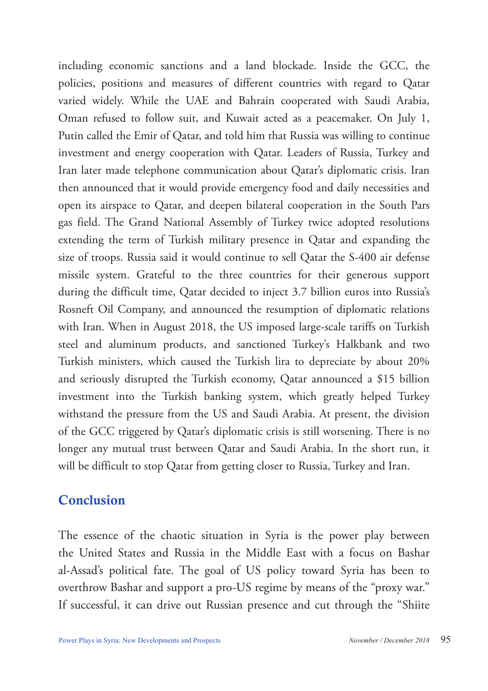including economic sanctions and a land blockade. Inside the GCC, the policies, positions and measures of different countries with regard to Qatar varied widely. While the UAE and Bahrain cooperated with Saudi Arabia, Oman refused to follow suit, and Kuwait acted as a peacemaker. On July 1, Putin called the Emir of Qatar, and told him that Russia was willing to continue investment and energy cooperation with Qatar. Leaders of Russia, Turkey and Iran later made telephone communication about Qatar's diplomatic crisis. Iran then announced that it would provide emergency food and daily necessities and open its airspace to Qatar, and deepen bilateral cooperation in the South Pars gas field. The Grand National Assembly of Turkey twice adopted resolutions extending the term of Turkish military presence in Qatar and expanding the size of troops. Russia said it would continue to sell Qatar the S-400 air defense missile system. Grateful to the three countries for their generous support during the difficult time, Qatar decided to inject 3.7 billion euros into Russia's Rosneft Oil Company, and announced the resumption of diplomatic relations with Iran. When in August 2018, the US imposed large-scale tariffs on Turkish steel and aluminum products, and sanctioned Turkey's Halkbank and two Turkish ministers, which caused the Turkish lira to depreciate by about 20% and seriously disrupted the Turkish economy, Qatar announced a \$15 billion investment into the Turkish banking system, which greatly helped Turkey withstand the pressure from the US and Saudi Arabia. At present, the division of the GCC triggered by Qatar's diplomatic crisis is still worsening. There is no longer any mutual trust between Qatar and Saudi Arabia. In the short run, it will be difficult to stop Qatar from getting closer to Russia, Turkey and Iran.

#### Conclusion

The essence of the chaotic situation in Syria is the power play between the United States and Russia in the Middle East with a focus on Bashar al-Assad's political fate. The goal of US policy toward Syria has been to overthrow Bashar and support a pro-US regime by means of the "proxy war." If successful, it can drive out Russian presence and cut through the "Shiite